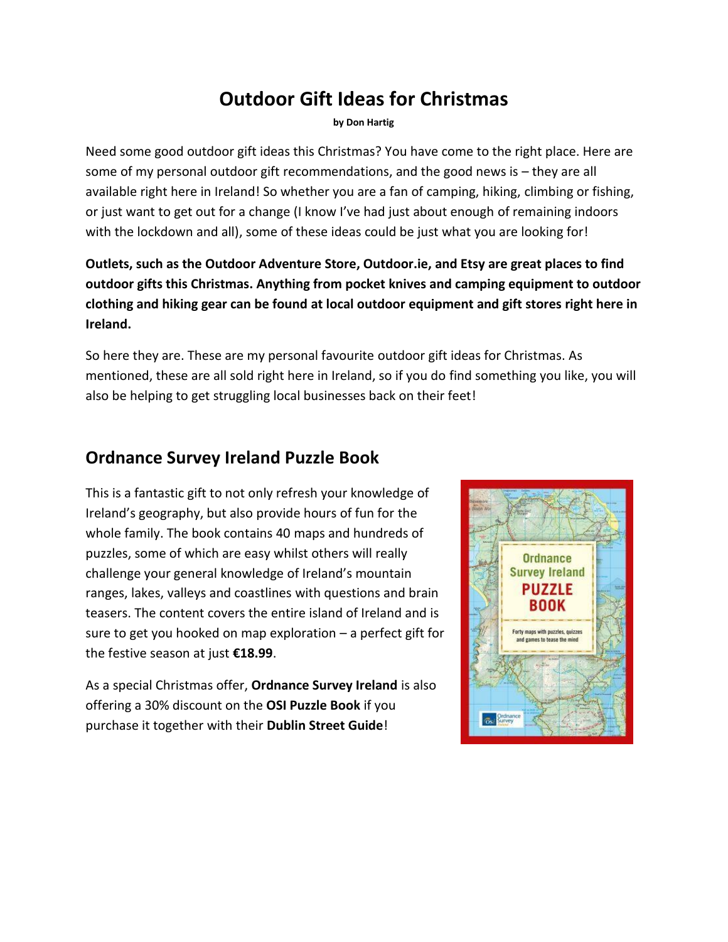# **Outdoor Gift Ideas for Christmas**

**by Don Hartig**

Need some good outdoor gift ideas this Christmas? You have come to the right place. Here are some of my personal outdoor gift recommendations, and the good news is – they are all available right here in Ireland! So whether you are a fan of camping, hiking, climbing or fishing, or just want to get out for a change (I know I've had just about enough of remaining indoors with the lockdown and all), some of these ideas could be just what you are looking for!

**Outlets, such as the Outdoor Adventure Store, Outdoor.ie, and Etsy are great places to find outdoor gifts this Christmas. Anything from pocket knives and camping equipment to outdoor clothing and hiking gear can be found at local outdoor equipment and gift stores right here in Ireland.**

So here they are. These are my personal favourite outdoor gift ideas for Christmas. As mentioned, these are all sold right here in Ireland, so if you do find something you like, you will also be helping to get struggling local businesses back on their feet!

#### **Ordnance Survey Ireland Puzzle Book**

This is a fantastic gift to not only refresh your knowledge of Ireland's geography, but also provide hours of fun for the whole family. The book contains 40 maps and hundreds of puzzles, some of which are easy whilst others will really challenge your general knowledge of Ireland's mountain ranges, lakes, valleys and coastlines with questions and brain teasers. The content covers the entire island of Ireland and is sure to get you hooked on map exploration – a perfect gift for the festive season at just **€18.99**.

As a special Christmas offer, **Ordnance Survey Ireland** is also offering a 30% discount on the **OSI Puzzle Book** if you purchase it together with their **Dublin Street Guide**!

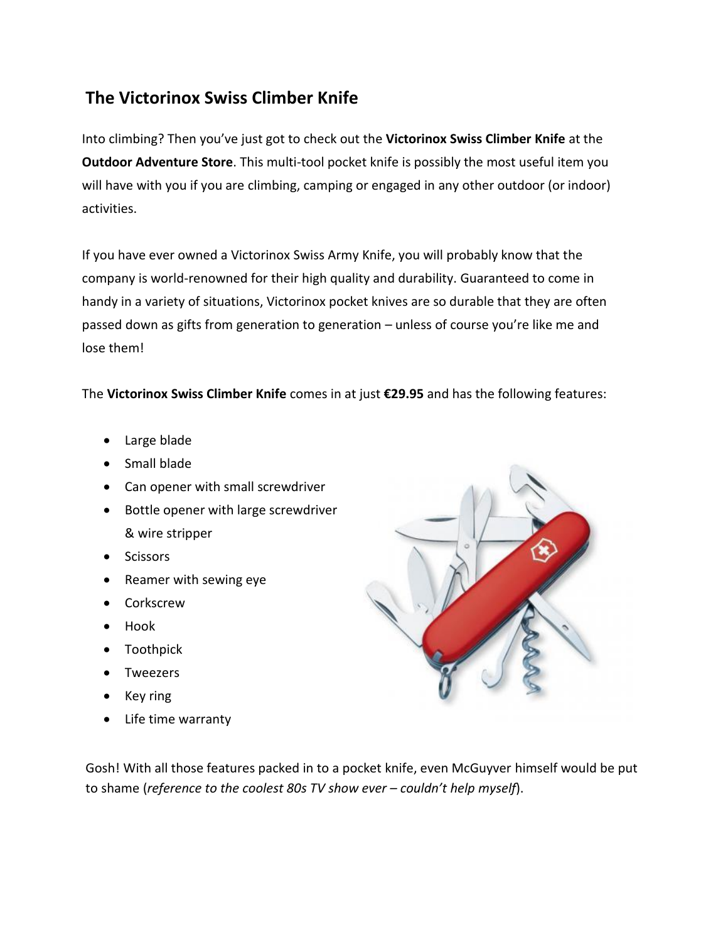# **The Victorinox Swiss Climber Knife**

Into climbing? Then you've just got to check out the **Victorinox Swiss Climber Knife** at the **Outdoor Adventure Store**. This multi-tool pocket knife is possibly the most useful item you will have with you if you are climbing, camping or engaged in any other outdoor (or indoor) activities.

If you have ever owned a Victorinox Swiss Army Knife, you will probably know that the company is world-renowned for their high quality and durability. Guaranteed to come in handy in a variety of situations, Victorinox pocket knives are so durable that they are often passed down as gifts from generation to generation – unless of course you're like me and lose them!

The **Victorinox Swiss Climber Knife** comes in at just **€29.95** and has the following features:

- Large blade
- Small blade
- Can opener with small screwdriver
- Bottle opener with large screwdriver & wire stripper
- Scissors
- Reamer with sewing eye
- Corkscrew
- Hook
- Toothpick
- Tweezers
- Key ring
- Life time warranty



Gosh! With all those features packed in to a pocket knife, even McGuyver himself would be put to shame (*reference to the coolest 80s TV show ever – couldn't help myself*).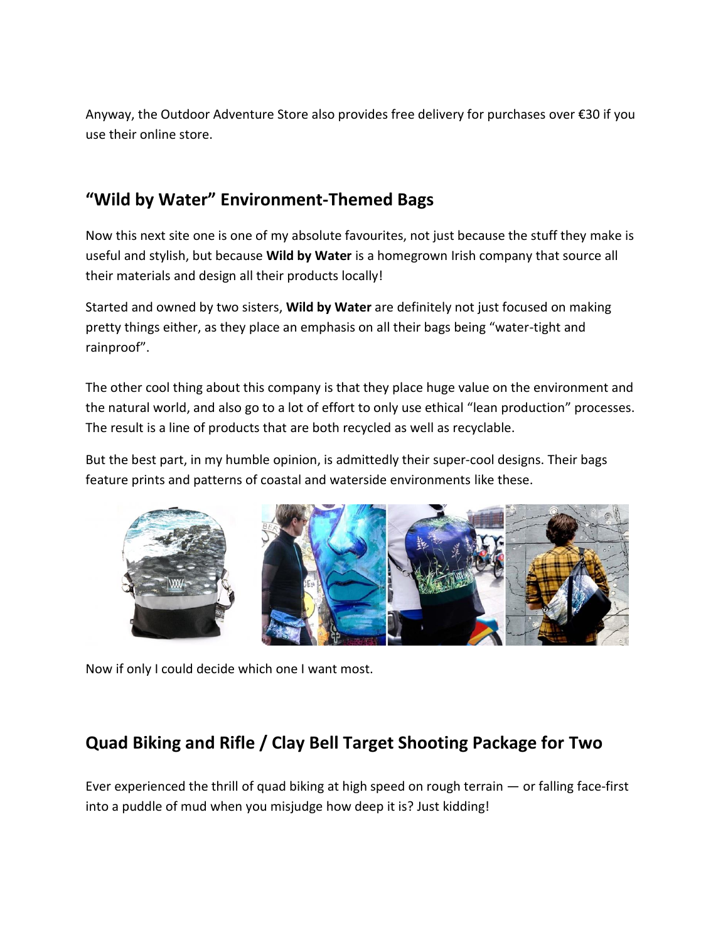Anyway, the Outdoor Adventure Store also provides free delivery for purchases over €30 if you use their online store.

# **"Wild by Water" Environment-Themed Bags**

Now this next site one is one of my absolute favourites, not just because the stuff they make is useful and stylish, but because **Wild by Water** is a homegrown Irish company that source all their materials and design all their products locally!

Started and owned by two sisters, **Wild by Water** are definitely not just focused on making pretty things either, as they place an emphasis on all their bags being "water-tight and rainproof".

The other cool thing about this company is that they place huge value on the environment and the natural world, and also go to a lot of effort to only use ethical "lean production" processes. The result is a line of products that are both recycled as well as recyclable.

But the best part, in my humble opinion, is admittedly their super-cool designs. Their bags feature prints and patterns of coastal and waterside environments like these.



Now if only I could decide which one I want most.

# **Quad Biking and Rifle / Clay Bell Target Shooting Package for Two**

Ever experienced the thrill of quad biking at high speed on rough terrain — or falling face-first into a puddle of mud when you misjudge how deep it is? Just kidding!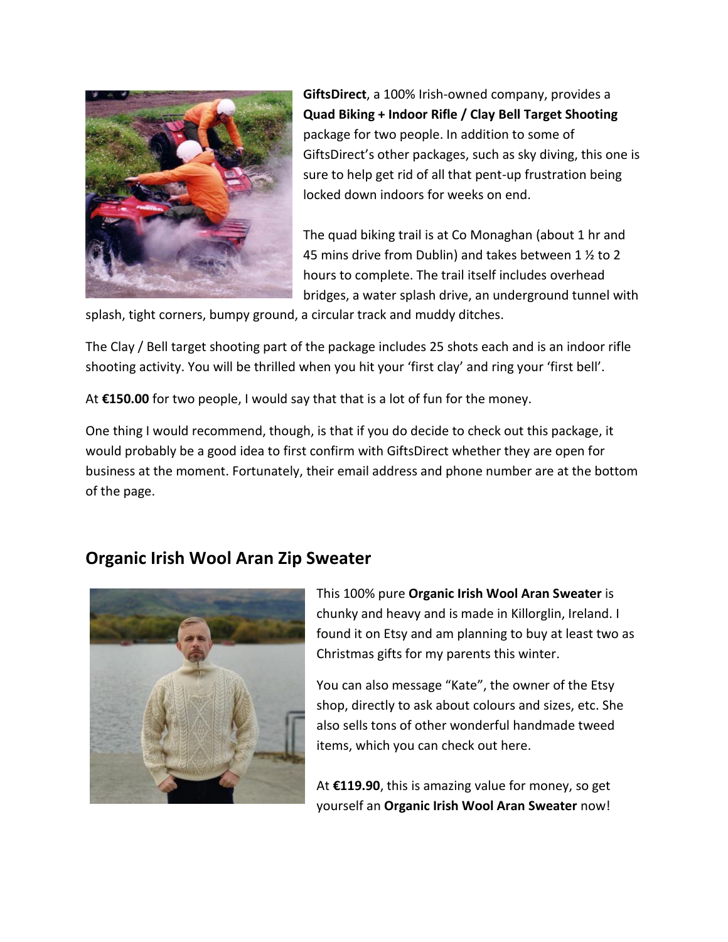

**GiftsDirect**, a 100% Irish-owned company, provides a **Quad Biking + Indoor Rifle / Clay Bell Target Shooting** package for two people. In addition to some of GiftsDirect's other packages, such as sky diving, this one is sure to help get rid of all that pent-up frustration being locked down indoors for weeks on end.

The quad biking trail is at Co Monaghan (about 1 hr and 45 mins drive from Dublin) and takes between 1 ½ to 2 hours to complete. The trail itself includes overhead bridges, a water splash drive, an underground tunnel with

splash, tight corners, bumpy ground, a circular track and muddy ditches.

The Clay / Bell target shooting part of the package includes 25 shots each and is an indoor rifle shooting activity. You will be thrilled when you hit your 'first clay' and ring your 'first bell'.

At **€150.00** for two people, I would say that that is a lot of fun for the money.

One thing I would recommend, though, is that if you do decide to check out this package, it would probably be a good idea to first confirm with GiftsDirect whether they are open for business at the moment. Fortunately, their email address and phone number are at the bottom of the page.

#### **Organic Irish Wool Aran Zip Sweater**



This 100% pure **Organic Irish Wool Aran Sweater** is chunky and heavy and is made in Killorglin, Ireland. I found it on Etsy and am planning to buy at least two as Christmas gifts for my parents this winter.

You can also message "Kate", the owner of the Etsy shop, directly to ask about colours and sizes, etc. She also sells tons of other wonderful handmade tweed items, which you can check out here.

At **€119.90**, this is amazing value for money, so get yourself an **Organic Irish Wool Aran Sweater** now!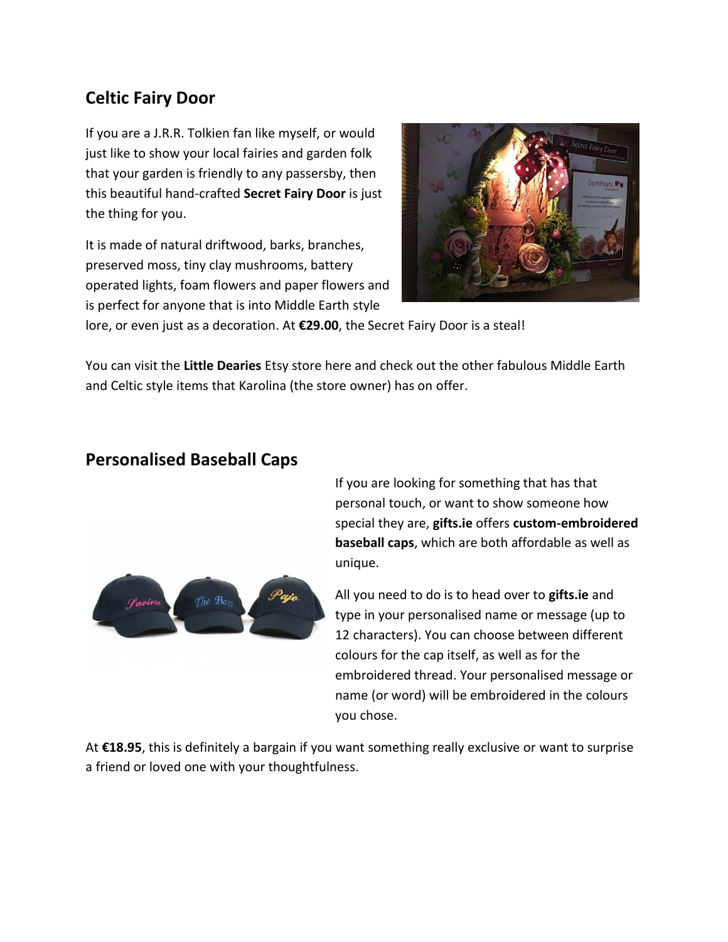### **Celtic Fairy Door**

If you are a J.R.R. Tolkien fan like myself, or would just like to show your local fairies and garden folk that your garden is friendly to any passersby, then this beautiful hand-crafted **Secret Fairy Door** is just the thing for you.

It is made of natural driftwood, barks, branches, preserved moss, tiny clay mushrooms, battery operated lights, foam flowers and paper flowers and is perfect for anyone that is into Middle Earth style



lore, or even just as a decoration. At **€29.00**, the Secret Fairy Door is a steal!

You can visit the **Little Dearies** Etsy store here and check out the other fabulous Middle Earth and Celtic style items that Karolina (the store owner) has on offer.

#### **Personalised Baseball Caps**



If you are looking for something that has that personal touch, or want to show someone how special they are, **gifts.ie** offers **custom-embroidered baseball caps**, which are both affordable as well as unique.

All you need to do is to head over to **gifts.ie** and type in your personalised name or message (up to 12 characters). You can choose between different colours for the cap itself, as well as for the embroidered thread. Your personalised message or name (or word) will be embroidered in the colours you chose.

At **€18.95**, this is definitely a bargain if you want something really exclusive or want to surprise a friend or loved one with your thoughtfulness.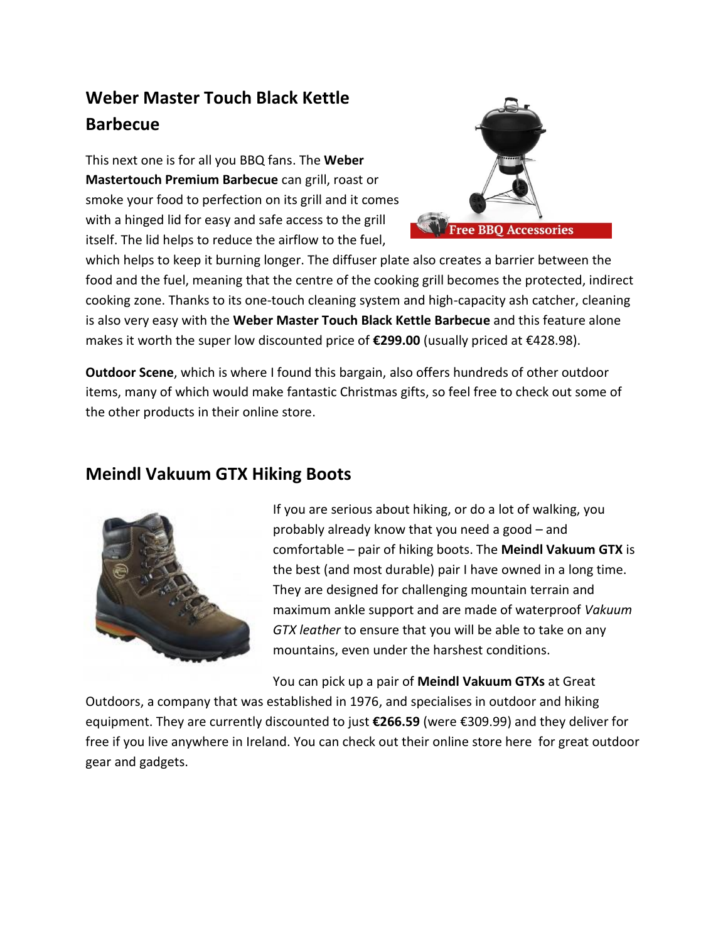# **Weber Master Touch Black Kettle Barbecue**

This next one is for all you BBQ fans. The **Weber Mastertouch Premium Barbecue** can grill, roast or smoke your food to perfection on its grill and it comes with a hinged lid for easy and safe access to the grill itself. The lid helps to reduce the airflow to the fuel,



which helps to keep it burning longer. The diffuser plate also creates a barrier between the food and the fuel, meaning that the centre of the cooking grill becomes the protected, indirect cooking zone. Thanks to its one-touch cleaning system and high-capacity ash catcher, cleaning is also very easy with the **Weber Master Touch Black Kettle Barbecue** and this feature alone makes it worth the super low discounted price of **€299.00** (usually priced at €428.98).

**Outdoor Scene**, which is where I found this bargain, also offers hundreds of other outdoor items, many of which would make fantastic Christmas gifts, so feel free to check out some of the other products in their online store.

#### **Meindl Vakuum GTX Hiking Boots**



If you are serious about hiking, or do a lot of walking, you probably already know that you need a good – and comfortable – pair of hiking boots. The **Meindl Vakuum GTX** is the best (and most durable) pair I have owned in a long time. They are designed for challenging mountain terrain and maximum ankle support and are made of waterproof *Vakuum GTX leather* to ensure that you will be able to take on any mountains, even under the harshest conditions.

You can pick up a pair of **Meindl Vakuum GTXs** at Great

Outdoors, a company that was established in 1976, and specialises in outdoor and hiking equipment. They are currently discounted to just **€266.59** (were €309.99) and they deliver for free if you live anywhere in Ireland. You can check out their online store here for great outdoor gear and gadgets.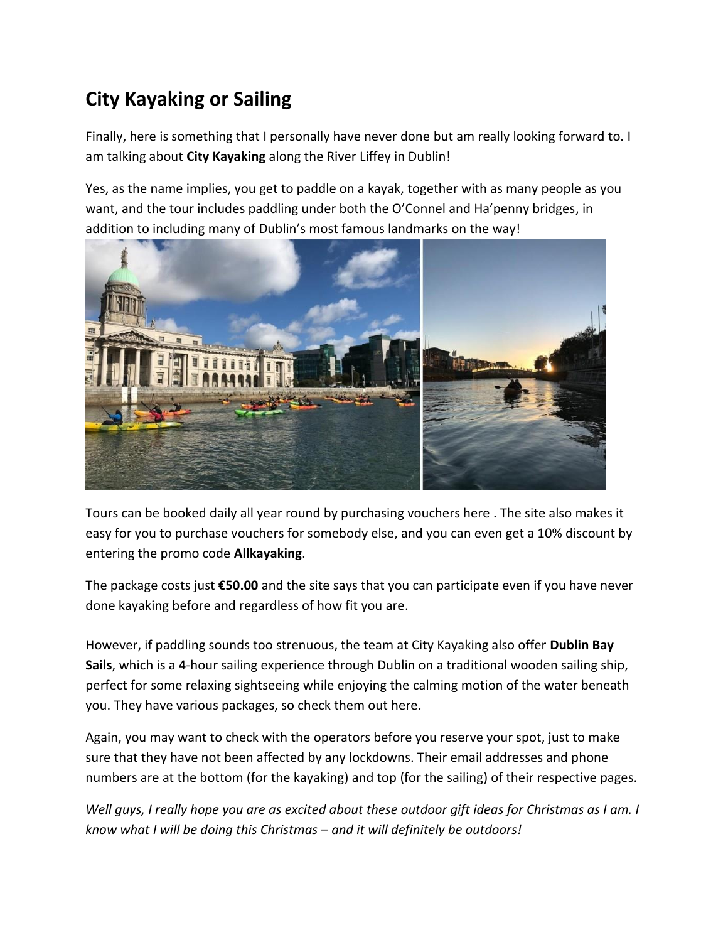# **City Kayaking or Sailing**

Finally, here is something that I personally have never done but am really looking forward to. I am talking about **City Kayaking** along the River Liffey in Dublin!

Yes, as the name implies, you get to paddle on a kayak, together with as many people as you want, and the tour includes paddling under both the O'Connel and Ha'penny bridges, in addition to including many of Dublin's most famous landmarks on the way!



Tours can be booked daily all year round by purchasing vouchers here . The site also makes it easy for you to purchase vouchers for somebody else, and you can even get a 10% discount by entering the promo code **Allkayaking**.

The package costs just **€50.00** and the site says that you can participate even if you have never done kayaking before and regardless of how fit you are.

However, if paddling sounds too strenuous, the team at City Kayaking also offer **Dublin Bay Sails**, which is a 4-hour sailing experience through Dublin on a traditional wooden sailing ship, perfect for some relaxing sightseeing while enjoying the calming motion of the water beneath you. They have various packages, so check them out here.

Again, you may want to check with the operators before you reserve your spot, just to make sure that they have not been affected by any lockdowns. Their email addresses and phone numbers are at the bottom (for the kayaking) and top (for the sailing) of their respective pages.

*Well guys, I really hope you are as excited about these outdoor gift ideas for Christmas as I am. I know what I will be doing this Christmas – and it will definitely be outdoors!*